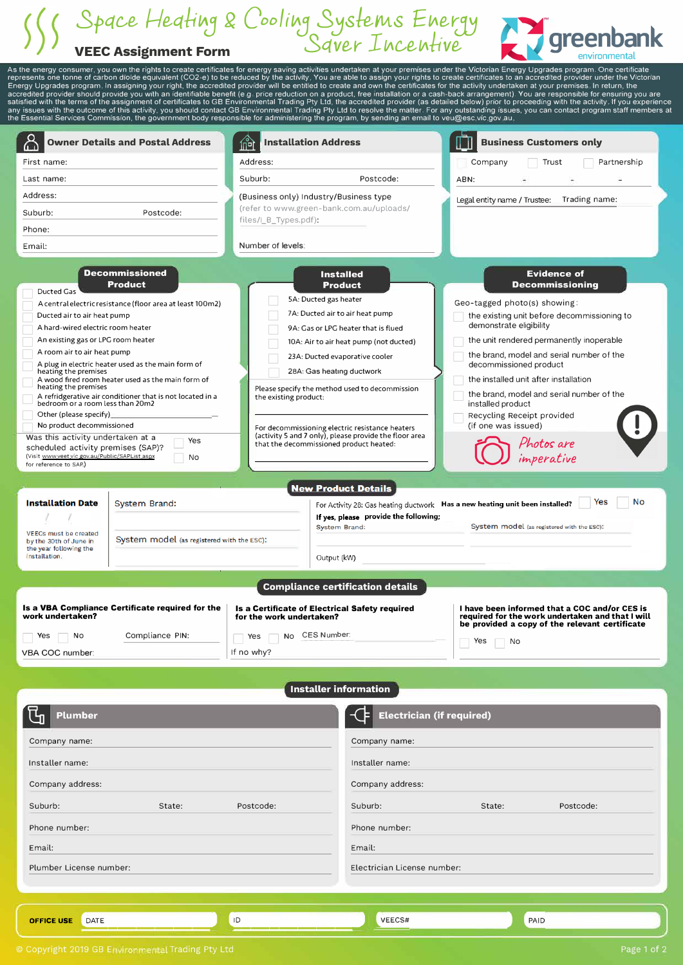## *3pcr�e 1-/eqHLAj £ CooliLAj 31.skntt.s ELAetr)*  **VEEC Assignment Form** *Server- I LA�eLAHve* **greenbank**



As the energy consumer, you own the rights to create certificates for energy saving activities undertaken at your premises under the Victorian Energy Upgrades program. One certificate<br>represents one tonne of carbon dioide

|                                                                                                                                                                                                                                                                                                                                                                                                                                    | <b>Owner Details and Postal Address</b>                                                                                                                                                                                                                                            | <b>Installation Address</b><br>尙                                                                                      |                                                                                                                                                                                                                                                                                                                                                                                      | <b>Business Customers only</b>                                                                                                                                                                                                                                                                                                                                                                                                                                             |
|------------------------------------------------------------------------------------------------------------------------------------------------------------------------------------------------------------------------------------------------------------------------------------------------------------------------------------------------------------------------------------------------------------------------------------|------------------------------------------------------------------------------------------------------------------------------------------------------------------------------------------------------------------------------------------------------------------------------------|-----------------------------------------------------------------------------------------------------------------------|--------------------------------------------------------------------------------------------------------------------------------------------------------------------------------------------------------------------------------------------------------------------------------------------------------------------------------------------------------------------------------------|----------------------------------------------------------------------------------------------------------------------------------------------------------------------------------------------------------------------------------------------------------------------------------------------------------------------------------------------------------------------------------------------------------------------------------------------------------------------------|
| First name:                                                                                                                                                                                                                                                                                                                                                                                                                        |                                                                                                                                                                                                                                                                                    | Address:                                                                                                              |                                                                                                                                                                                                                                                                                                                                                                                      | Partnership<br>Company<br>Trust                                                                                                                                                                                                                                                                                                                                                                                                                                            |
| Last name:                                                                                                                                                                                                                                                                                                                                                                                                                         |                                                                                                                                                                                                                                                                                    | Suburb:                                                                                                               | Postcode:                                                                                                                                                                                                                                                                                                                                                                            | ABN:                                                                                                                                                                                                                                                                                                                                                                                                                                                                       |
| Address:                                                                                                                                                                                                                                                                                                                                                                                                                           |                                                                                                                                                                                                                                                                                    | (Business only) Industry/Business type                                                                                |                                                                                                                                                                                                                                                                                                                                                                                      |                                                                                                                                                                                                                                                                                                                                                                                                                                                                            |
| Suburb:                                                                                                                                                                                                                                                                                                                                                                                                                            | Postcode:                                                                                                                                                                                                                                                                          | (refer to www.green-bank.com.au/uploads/                                                                              |                                                                                                                                                                                                                                                                                                                                                                                      | Legal entity name / Trustee:<br>Trading name:                                                                                                                                                                                                                                                                                                                                                                                                                              |
| Phone:                                                                                                                                                                                                                                                                                                                                                                                                                             |                                                                                                                                                                                                                                                                                    | files/I_B_Types.pdf):                                                                                                 |                                                                                                                                                                                                                                                                                                                                                                                      |                                                                                                                                                                                                                                                                                                                                                                                                                                                                            |
|                                                                                                                                                                                                                                                                                                                                                                                                                                    |                                                                                                                                                                                                                                                                                    | Number of levels:                                                                                                     |                                                                                                                                                                                                                                                                                                                                                                                      |                                                                                                                                                                                                                                                                                                                                                                                                                                                                            |
| Email:                                                                                                                                                                                                                                                                                                                                                                                                                             |                                                                                                                                                                                                                                                                                    |                                                                                                                       |                                                                                                                                                                                                                                                                                                                                                                                      |                                                                                                                                                                                                                                                                                                                                                                                                                                                                            |
| <b>Ducted Gas</b><br>Ducted air to air heat pump<br>A hard-wired electric room heater<br>An existing gas or LPG room heater<br>A room air to air heat pump<br>heating the premises<br>heating the premises<br>bedroom or a room less than 20m2<br>Other (please specify)<br>No product decommissioned<br>Was this activity undertaken at a<br>scheduled activity premises (SAP)?<br>(Visit_www.veet.vic.gov.au/Public/SAPList.aspx | Decommissioned<br><b>Product</b><br>A central electric resistance (floor area at least 100m2)<br>A plug in electric heater used as the main form of<br>A wood fired room heater used as the main form of<br>A refridgerative air conditioner that is not located in a<br>Yes<br>No | 5A: Ducted gas heater<br>the existing product:<br>that the decommissioned product heated:                             | <b>Installed</b><br><b>Product</b><br>7A: Ducted air to air heat pump<br>9A: Gas or LPG heater that is flued<br>10A: Air to air heat pump (not ducted)<br>23A: Ducted evaporative cooler<br>28A: Gas heating ductwork<br>Please specify the method used to decommission<br>For decommissioning electric resistance heaters<br>(activity 5 and 7 only), please provide the floor area | <b>Evidence of</b><br><b>Decommissioning</b><br>Geo-tagged photo(s) showing:<br>the existing unit before decommissioning to<br>demonstrate eligibility<br>the unit rendered permanently inoperable<br>the brand, model and serial number of the<br>decommissioned product<br>the installed unit after installation<br>the brand, model and serial number of the<br>installed product<br>Recycling Receipt provided<br>(if one was issued)<br>Photos are<br>.<br>imperative |
| for reference to SAP.)                                                                                                                                                                                                                                                                                                                                                                                                             |                                                                                                                                                                                                                                                                                    |                                                                                                                       |                                                                                                                                                                                                                                                                                                                                                                                      |                                                                                                                                                                                                                                                                                                                                                                                                                                                                            |
|                                                                                                                                                                                                                                                                                                                                                                                                                                    |                                                                                                                                                                                                                                                                                    |                                                                                                                       |                                                                                                                                                                                                                                                                                                                                                                                      |                                                                                                                                                                                                                                                                                                                                                                                                                                                                            |
|                                                                                                                                                                                                                                                                                                                                                                                                                                    |                                                                                                                                                                                                                                                                                    |                                                                                                                       | <b>New Product Details</b>                                                                                                                                                                                                                                                                                                                                                           |                                                                                                                                                                                                                                                                                                                                                                                                                                                                            |
| <b>Installation Date</b>                                                                                                                                                                                                                                                                                                                                                                                                           | <b>System Brand:</b>                                                                                                                                                                                                                                                               |                                                                                                                       |                                                                                                                                                                                                                                                                                                                                                                                      | No<br>Yes<br>For Activity 28: Gas heating ductwork Has a new heating unit been installed?                                                                                                                                                                                                                                                                                                                                                                                  |
|                                                                                                                                                                                                                                                                                                                                                                                                                                    |                                                                                                                                                                                                                                                                                    |                                                                                                                       | If yes, please provide the following;                                                                                                                                                                                                                                                                                                                                                |                                                                                                                                                                                                                                                                                                                                                                                                                                                                            |
| <b>VEECs must be created</b>                                                                                                                                                                                                                                                                                                                                                                                                       | System model (as registered with the ESC):                                                                                                                                                                                                                                         |                                                                                                                       | <b>System Brand:</b>                                                                                                                                                                                                                                                                                                                                                                 | System model (as registered with the ESC):                                                                                                                                                                                                                                                                                                                                                                                                                                 |
| by the 30th of June in<br>the year following the<br>installation.                                                                                                                                                                                                                                                                                                                                                                  |                                                                                                                                                                                                                                                                                    |                                                                                                                       |                                                                                                                                                                                                                                                                                                                                                                                      |                                                                                                                                                                                                                                                                                                                                                                                                                                                                            |
|                                                                                                                                                                                                                                                                                                                                                                                                                                    |                                                                                                                                                                                                                                                                                    |                                                                                                                       | Output (kW)                                                                                                                                                                                                                                                                                                                                                                          |                                                                                                                                                                                                                                                                                                                                                                                                                                                                            |
|                                                                                                                                                                                                                                                                                                                                                                                                                                    |                                                                                                                                                                                                                                                                                    |                                                                                                                       | <b>Compliance certification details</b>                                                                                                                                                                                                                                                                                                                                              |                                                                                                                                                                                                                                                                                                                                                                                                                                                                            |
| work undertaken?<br>Yes<br>No<br>$\overline{\phantom{a}}$<br>VBA COC number:                                                                                                                                                                                                                                                                                                                                                       | Is a VBA Compliance Certificate required for the<br>Compliance PIN:                                                                                                                                                                                                                | <b>Is a Certificate of Electrical Safety required</b><br>for the work undertaken?<br>Yes No CES Number:<br>If no why? |                                                                                                                                                                                                                                                                                                                                                                                      | I have been informed that a COC and/or CES is<br>required for the work undertaken and that I will<br>be provided a copy of the relevant certificate<br>Yes<br>No                                                                                                                                                                                                                                                                                                           |
|                                                                                                                                                                                                                                                                                                                                                                                                                                    |                                                                                                                                                                                                                                                                                    |                                                                                                                       |                                                                                                                                                                                                                                                                                                                                                                                      |                                                                                                                                                                                                                                                                                                                                                                                                                                                                            |
|                                                                                                                                                                                                                                                                                                                                                                                                                                    |                                                                                                                                                                                                                                                                                    |                                                                                                                       |                                                                                                                                                                                                                                                                                                                                                                                      |                                                                                                                                                                                                                                                                                                                                                                                                                                                                            |
| Plumber                                                                                                                                                                                                                                                                                                                                                                                                                            |                                                                                                                                                                                                                                                                                    |                                                                                                                       | <b>Installer information</b><br><b>Electrician (if required)</b>                                                                                                                                                                                                                                                                                                                     |                                                                                                                                                                                                                                                                                                                                                                                                                                                                            |
| Company name:                                                                                                                                                                                                                                                                                                                                                                                                                      |                                                                                                                                                                                                                                                                                    |                                                                                                                       | Company name:                                                                                                                                                                                                                                                                                                                                                                        |                                                                                                                                                                                                                                                                                                                                                                                                                                                                            |
| Installer name:                                                                                                                                                                                                                                                                                                                                                                                                                    |                                                                                                                                                                                                                                                                                    |                                                                                                                       | Installer name:                                                                                                                                                                                                                                                                                                                                                                      |                                                                                                                                                                                                                                                                                                                                                                                                                                                                            |
| Company address:                                                                                                                                                                                                                                                                                                                                                                                                                   |                                                                                                                                                                                                                                                                                    |                                                                                                                       | Company address:                                                                                                                                                                                                                                                                                                                                                                     |                                                                                                                                                                                                                                                                                                                                                                                                                                                                            |

Phone number: Phone number:

**OFFICE USE** DATE \_\_\_\_\_\_\_\_\_\_\_\_\_\_ ... ,. \_\_\_\_\_\_\_\_\_\_\_\_\_ \_

Plumber License number: Electrician License number:

Email: Email:

PAID